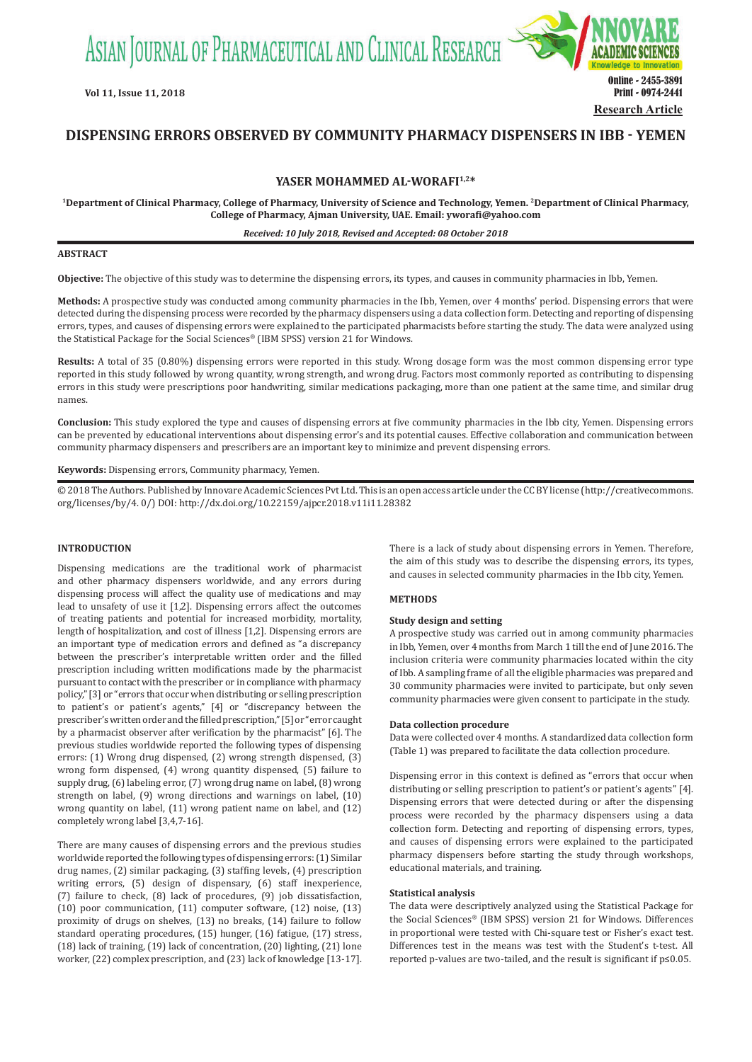ASIAN JOURNAL OF PHARMACEUTICAL AND CLINICAL RESEARCH



# **DISPENSING ERRORS OBSERVED BY COMMUNITY PHARMACY DISPENSERS IN IBB - YEMEN**

**YASER MOHAMMED AL-WORAFI1,2\***

**1Department of Clinical Pharmacy, College of Pharmacy, University of Science and Technology, Yemen. 2Department of Clinical Pharmacy, College of Pharmacy, Ajman University, UAE. Email: yworafi@yahoo.com**

*Received: 10 July 2018, Revised and Accepted: 08 October 2018*

## **ABSTRACT**

**Objective:** The objective of this study was to determine the dispensing errors, its types, and causes in community pharmacies in Ibb, Yemen.

**Methods:** A prospective study was conducted among community pharmacies in the Ibb, Yemen, over 4 months' period. Dispensing errors that were detected during the dispensing process were recorded by the pharmacy dispensers using a data collection form. Detecting and reporting of dispensing errors, types, and causes of dispensing errors were explained to the participated pharmacists before starting the study. The data were analyzed using the Statistical Package for the Social Sciences® (IBM SPSS) version 21 for Windows.

**Results:** A total of 35 (0.80%) dispensing errors were reported in this study. Wrong dosage form was the most common dispensing error type reported in this study followed by wrong quantity, wrong strength, and wrong drug. Factors most commonly reported as contributing to dispensing errors in this study were prescriptions poor handwriting, similar medications packaging, more than one patient at the same time, and similar drug names.

**Conclusion:** This study explored the type and causes of dispensing errors at five community pharmacies in the Ibb city, Yemen. Dispensing errors can be prevented by educational interventions about dispensing error's and its potential causes. Effective collaboration and communication between community pharmacy dispensers and prescribers are an important key to minimize and prevent dispensing errors.

**Keywords:** Dispensing errors, Community pharmacy, Yemen.

© 2018 The Authors. Published by Innovare Academic Sciences Pvt Ltd. This is an open access article under the CC BY license (http://creativecommons. org/licenses/by/4. 0/) DOI: http://dx.doi.org/10.22159/ajpcr.2018.v11i11.28382

#### **INTRODUCTION**

Dispensing medications are the traditional work of pharmacist and other pharmacy dispensers worldwide, and any errors during dispensing process will affect the quality use of medications and may lead to unsafety of use it [1,2]. Dispensing errors affect the outcomes of treating patients and potential for increased morbidity, mortality, length of hospitalization, and cost of illness [1,2]. Dispensing errors are an important type of medication errors and defined as "a discrepancy between the prescriber's interpretable written order and the filled prescription including written modifications made by the pharmacist pursuant to contact with the prescriber or in compliance with pharmacy policy," [3] or "errors that occur when distributing or selling prescription to patient's or patient's agents," [4] or "discrepancy between the prescriber's written order and the filled prescription," [5] or "error caught by a pharmacist observer after verification by the pharmacist" [6]. The previous studies worldwide reported the following types of dispensing errors: (1) Wrong drug dispensed, (2) wrong strength dispensed, (3) wrong form dispensed, (4) wrong quantity dispensed, (5) failure to supply drug, (6) labeling error, (7) wrong drug name on label, (8) wrong strength on label, (9) wrong directions and warnings on label, (10) wrong quantity on label, (11) wrong patient name on label, and (12) completely wrong label [3,4,7-16].

There are many causes of dispensing errors and the previous studies worldwide reported the following types of dispensing errors: (1) Similar drug names, (2) similar packaging, (3) staffing levels, (4) prescription writing errors, (5) design of dispensary, (6) staff inexperience, (7) failure to check, (8) lack of procedures, (9) job dissatisfaction, (10) poor communication, (11) computer software, (12) noise, (13) proximity of drugs on shelves, (13) no breaks, (14) failure to follow standard operating procedures, (15) hunger, (16) fatigue, (17) stress, (18) lack of training, (19) lack of concentration, (20) lighting, (21) lone worker, (22) complex prescription, and (23) lack of knowledge [13-17]. There is a lack of study about dispensing errors in Yemen. Therefore, the aim of this study was to describe the dispensing errors, its types, and causes in selected community pharmacies in the Ibb city, Yemen.

## **METHODS**

## **Study design and setting**

A prospective study was carried out in among community pharmacies in Ibb, Yemen, over 4 months from March 1 till the end of June 2016. The inclusion criteria were community pharmacies located within the city of Ibb. A sampling frame of all the eligible pharmacies was prepared and 30 community pharmacies were invited to participate, but only seven community pharmacies were given consent to participate in the study.

## **Data collection procedure**

Data were collected over 4 months. A standardized data collection form (Table 1) was prepared to facilitate the data collection procedure.

Dispensing error in this context is defined as "errors that occur when distributing or selling prescription to patient's or patient's agents" [4]. Dispensing errors that were detected during or after the dispensing process were recorded by the pharmacy dispensers using a data collection form. Detecting and reporting of dispensing errors, types, and causes of dispensing errors were explained to the participated pharmacy dispensers before starting the study through workshops, educational materials, and training.

### **Statistical analysis**

The data were descriptively analyzed using the Statistical Package for the Social Sciences® (IBM SPSS) version 21 for Windows. Differences in proportional were tested with Chi-square test or Fisher's exact test. Differences test in the means was test with the Student's t-test. All reported p-values are two-tailed, and the result is significant if p≤0.05.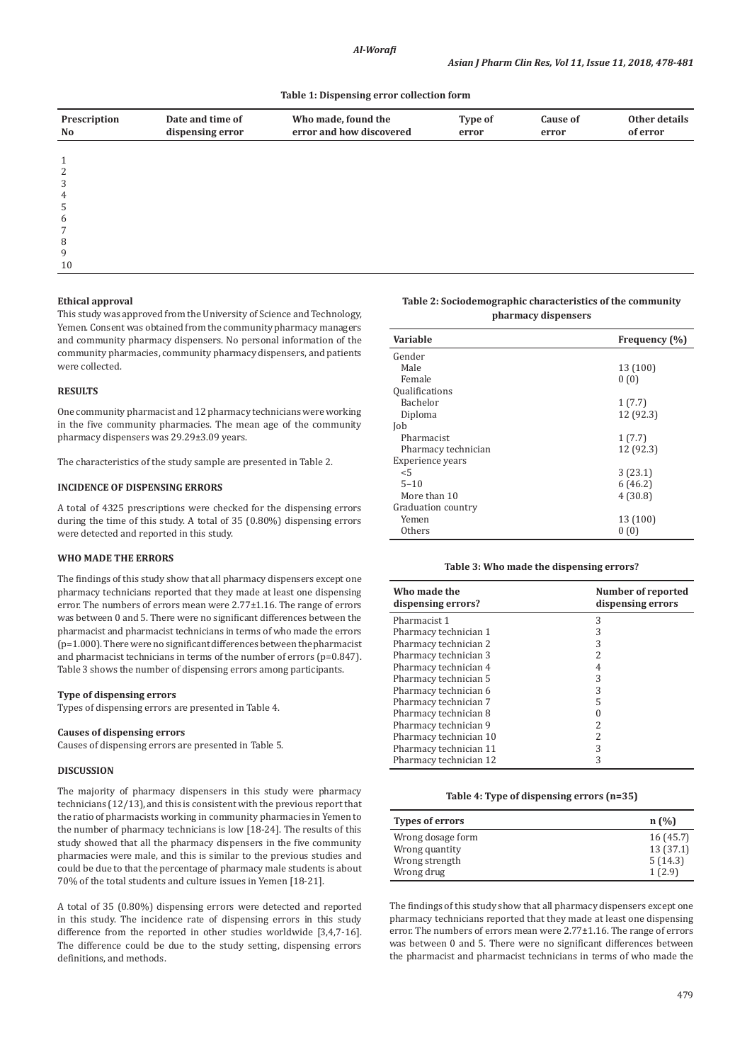#### **Table 1: Dispensing error collection form**

| Prescription<br>No | Date and time of<br>dispensing error | Who made, found the<br>error and how discovered | Type of<br>error | Cause of<br>error | Other details<br>of error |
|--------------------|--------------------------------------|-------------------------------------------------|------------------|-------------------|---------------------------|
|                    |                                      |                                                 |                  |                   |                           |
| 1                  |                                      |                                                 |                  |                   |                           |
| 2                  |                                      |                                                 |                  |                   |                           |
| 3                  |                                      |                                                 |                  |                   |                           |
| 4                  |                                      |                                                 |                  |                   |                           |
| 5                  |                                      |                                                 |                  |                   |                           |
| 6                  |                                      |                                                 |                  |                   |                           |
| 7                  |                                      |                                                 |                  |                   |                           |
| 8                  |                                      |                                                 |                  |                   |                           |
| 9                  |                                      |                                                 |                  |                   |                           |
|                    |                                      |                                                 |                  |                   |                           |

#### **Ethical approval**

10

This study was approved from the University of Science and Technology, Yemen. Consent was obtained from the community pharmacy managers and community pharmacy dispensers. No personal information of the community pharmacies, community pharmacy dispensers, and patients were collected.

## **RESULTS**

One community pharmacist and 12 pharmacy technicians were working in the five community pharmacies. The mean age of the community pharmacy dispensers was 29.29±3.09 years.

The characteristics of the study sample are presented in Table 2.

#### **INCIDENCE OF DISPENSING ERRORS**

A total of 4325 prescriptions were checked for the dispensing errors during the time of this study. A total of 35 (0.80%) dispensing errors were detected and reported in this study.

#### **WHO MADE THE ERRORS**

The findings of this study show that all pharmacy dispensers except one pharmacy technicians reported that they made at least one dispensing error. The numbers of errors mean were 2.77±1.16. The range of errors was between 0 and 5. There were no significant differences between the pharmacist and pharmacist technicians in terms of who made the errors (p=1.000). There were no significant differences between the pharmacist and pharmacist technicians in terms of the number of errors (p=0.847). Table 3 shows the number of dispensing errors among participants.

### **Type of dispensing errors**

Types of dispensing errors are presented in Table 4.

### **Causes of dispensing errors**

Causes of dispensing errors are presented in Table 5.

## **DISCUSSION**

The majority of pharmacy dispensers in this study were pharmacy technicians (12/13), and this is consistent with the previous report that the ratio of pharmacists working in community pharmacies in Yemen to the number of pharmacy technicians is low [18-24]. The results of this study showed that all the pharmacy dispensers in the five community pharmacies were male, and this is similar to the previous studies and could be due to that the percentage of pharmacy male students is about 70% of the total students and culture issues in Yemen [18-21].

A total of 35 (0.80%) dispensing errors were detected and reported in this study. The incidence rate of dispensing errors in this study difference from the reported in other studies worldwide [3,4,7-16]. The difference could be due to the study setting, dispensing errors definitions, and methods.

### **Table 2: Sociodemographic characteristics of the community pharmacy dispensers**

| Variable              | Frequency (%) |
|-----------------------|---------------|
| Gender                |               |
| Male                  | 13 (100)      |
| Female                | 0(0)          |
| <b>Qualifications</b> |               |
| Bachelor              | 1(7.7)        |
| Diploma               | 12 (92.3)     |
| Job                   |               |
| Pharmacist            | 1(7.7)        |
| Pharmacy technician   | 12 (92.3)     |
| Experience years      |               |
| < 5                   | 3(23.1)       |
| $5 - 10$              | 6(46.2)       |
| More than 10          | 4(30.8)       |
| Graduation country    |               |
| Yemen                 | 13 (100)      |
| Others                | 0(0)          |

#### **Table 3: Who made the dispensing errors?**

| Who made the<br>dispensing errors? | Number of reported<br>dispensing errors |
|------------------------------------|-----------------------------------------|
| Pharmacist 1                       | 3                                       |
| Pharmacy technician 1              | 3                                       |
| Pharmacy technician 2              | 3                                       |
| Pharmacy technician 3              | 2                                       |
| Pharmacy technician 4              |                                         |
| Pharmacy technician 5              | 3                                       |
| Pharmacy technician 6              | 3                                       |
| Pharmacy technician 7              | 5                                       |
| Pharmacy technician 8              |                                         |
| Pharmacy technician 9              | 2                                       |
| Pharmacy technician 10             | 2                                       |
| Pharmacy technician 11             | 3                                       |
| Pharmacy technician 12             | 3                                       |

#### **Table 4: Type of dispensing errors (n=35)**

| Types of errors                                       | n(%)                            |
|-------------------------------------------------------|---------------------------------|
| Wrong dosage form<br>Wrong quantity<br>Wrong strength | 16(45.7)<br>13(37.1)<br>5(14.3) |
| Wrong drug                                            | 1(2.9)                          |

The findings of this study show that all pharmacy dispensers except one pharmacy technicians reported that they made at least one dispensing error. The numbers of errors mean were 2.77±1.16. The range of errors was between 0 and 5. There were no significant differences between the pharmacist and pharmacist technicians in terms of who made the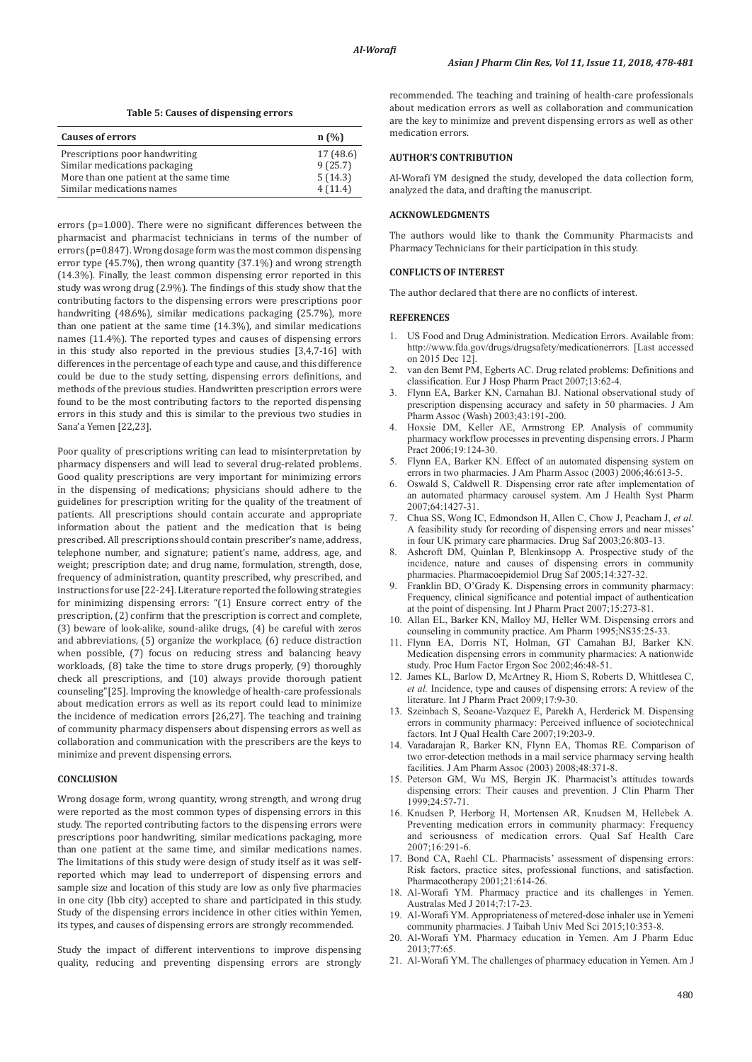**Table 5: Causes of dispensing errors**

| <b>Causes of errors</b>                 | $n(y_0)$  |
|-----------------------------------------|-----------|
| Prescriptions poor handwriting          | 17 (48.6) |
| Similar medications packaging           | 9(25.7)   |
| More than one patient at the same time. | 5(14.3)   |
| Similar medications names               | 4(11.4)   |

errors (p=1.000). There were no significant differences between the pharmacist and pharmacist technicians in terms of the number of errors (p=0.847). Wrong dosage form was the most common dispensing error type (45.7%), then wrong quantity (37.1%) and wrong strength (14.3%). Finally, the least common dispensing error reported in this study was wrong drug (2.9%). The findings of this study show that the contributing factors to the dispensing errors were prescriptions poor handwriting (48.6%), similar medications packaging (25.7%), more than one patient at the same time (14.3%), and similar medications names (11.4%). The reported types and causes of dispensing errors in this study also reported in the previous studies [3,4,7-16] with differences in the percentage of each type and cause, and this difference could be due to the study setting, dispensing errors definitions, and methods of the previous studies. Handwritten prescription errors were found to be the most contributing factors to the reported dispensing errors in this study and this is similar to the previous two studies in Sana'a Yemen [22,23].

Poor quality of prescriptions writing can lead to misinterpretation by pharmacy dispensers and will lead to several drug-related problems. Good quality prescriptions are very important for minimizing errors in the dispensing of medications; physicians should adhere to the guidelines for prescription writing for the quality of the treatment of patients. All prescriptions should contain accurate and appropriate information about the patient and the medication that is being prescribed. All prescriptions should contain prescriber's name, address, telephone number, and signature; patient's name, address, age, and weight; prescription date; and drug name, formulation, strength, dose, frequency of administration, quantity prescribed, why prescribed, and instructions for use [22-24]. Literature reported the following strategies for minimizing dispensing errors: "(1) Ensure correct entry of the prescription, (2) confirm that the prescription is correct and complete, (3) beware of look-alike, sound-alike drugs, (4) be careful with zeros and abbreviations, (5) organize the workplace, (6) reduce distraction when possible, (7) focus on reducing stress and balancing heavy workloads, (8) take the time to store drugs properly, (9) thoroughly check all prescriptions, and (10) always provide thorough patient counseling"[25]. Improving the knowledge of health-care professionals about medication errors as well as its report could lead to minimize the incidence of medication errors [26,27]. The teaching and training of community pharmacy dispensers about dispensing errors as well as collaboration and communication with the prescribers are the keys to minimize and prevent dispensing errors.

## **CONCLUSION**

Wrong dosage form, wrong quantity, wrong strength, and wrong drug were reported as the most common types of dispensing errors in this study. The reported contributing factors to the dispensing errors were prescriptions poor handwriting, similar medications packaging, more than one patient at the same time, and similar medications names. The limitations of this study were design of study itself as it was selfreported which may lead to underreport of dispensing errors and sample size and location of this study are low as only five pharmacies in one city (Ibb city) accepted to share and participated in this study. Study of the dispensing errors incidence in other cities within Yemen, its types, and causes of dispensing errors are strongly recommended.

Study the impact of different interventions to improve dispensing quality, reducing and preventing dispensing errors are strongly

recommended. The teaching and training of health-care professionals about medication errors as well as collaboration and communication are the key to minimize and prevent dispensing errors as well as other medication errors.

### **AUTHOR'S CONTRIBUTION**

Al-Worafi YM designed the study, developed the data collection form, analyzed the data, and drafting the manuscript.

#### **ACKNOWLEDGMENTS**

The authors would like to thank the Community Pharmacists and Pharmacy Technicians for their participation in this study.

## **CONFLICTS OF INTEREST**

The author declared that there are no conflicts of interest.

### **REFERENCES**

- 1. US Food and Drug Administration. Medication Errors. Available from: http://www.fda.gov/drugs/drugsafety/medicationerrors. [Last accessed on 2015 Dec 12].
- 2. van den Bemt PM, Egberts AC. Drug related problems: Definitions and classification. Eur J Hosp Pharm Pract 2007;13:62-4.
- 3. Flynn EA, Barker KN, Carnahan BJ. National observational study of prescription dispensing accuracy and safety in 50 pharmacies. J Am Pharm Assoc (Wash) 2003;43:191-200.
- 4. Hoxsie DM, Keller AE, Armstrong EP. Analysis of community pharmacy workflow processes in preventing dispensing errors. J Pharm Pract 2006;19:124-30.
- 5. Flynn EA, Barker KN. Effect of an automated dispensing system on errors in two pharmacies. J Am Pharm Assoc (2003) 2006;46:613-5.
- 6. Oswald S, Caldwell R. Dispensing error rate after implementation of an automated pharmacy carousel system. Am J Health Syst Pharm 2007;64:1427-31.
- 7. Chua SS, Wong IC, Edmondson H, Allen C, Chow J, Peacham J, *et al.*  A feasibility study for recording of dispensing errors and near misses' in four UK primary care pharmacies. Drug Saf 2003;26:803-13.
- 8. Ashcroft DM, Quinlan P, Blenkinsopp A. Prospective study of the incidence, nature and causes of dispensing errors in community pharmacies. Pharmacoepidemiol Drug Saf 2005;14:327-32.
- Franklin BD, O'Grady K. Dispensing errors in community pharmacy: Frequency, clinical significance and potential impact of authentication at the point of dispensing. Int J Pharm Pract 2007;15:273-81.
- 10. Allan EL, Barker KN, Malloy MJ, Heller WM. Dispensing errors and counseling in community practice. Am Pharm 1995;NS35:25-33.
- 11. Flynn EA, Dorris NT, Holman, GT Camahan BJ, Barker KN. Medication dispensing errors in community pharmacies: A nationwide study. Proc Hum Factor Ergon Soc 2002;46:48-51.
- 12. James KL, Barlow D, McArtney R, Hiom S, Roberts D, Whittlesea C, *et al.* Incidence, type and causes of dispensing errors: A review of the literature. Int J Pharm Pract 2009;17:9-30.
- 13. Szeinbach S, Seoane-Vazquez E, Parekh A, Herderick M. Dispensing errors in community pharmacy: Perceived influence of sociotechnical factors. Int J Qual Health Care 2007;19:203-9.
- 14. Varadarajan R, Barker KN, Flynn EA, Thomas RE. Comparison of two error-detection methods in a mail service pharmacy serving health facilities. J Am Pharm Assoc (2003) 2008;48:371-8.
- 15. Peterson GM, Wu MS, Bergin JK. Pharmacist's attitudes towards dispensing errors: Their causes and prevention. J Clin Pharm Ther 1999;24:57-71.
- 16. Knudsen P, Herborg H, Mortensen AR, Knudsen M, Hellebek A. Preventing medication errors in community pharmacy: Frequency and seriousness of medication errors. Qual Saf Health Care 2007;16:291-6.
- 17. Bond CA, Raehl CL. Pharmacists' assessment of dispensing errors: Risk factors, practice sites, professional functions, and satisfaction. Pharmacotherapy 2001;21:614-26.
- 18. Al-Worafi YM. Pharmacy practice and its challenges in Yemen. Australas Med J 2014;7:17-23.
- 19. Al-Worafi YM. Appropriateness of metered-dose inhaler use in Yemeni community pharmacies. J Taibah Univ Med Sci 2015;10:353-8.
- 20. Al-Worafi YM. Pharmacy education in Yemen. Am J Pharm Educ 2013;77:65.
- 21. Al-Worafi YM. The challenges of pharmacy education in Yemen. Am J